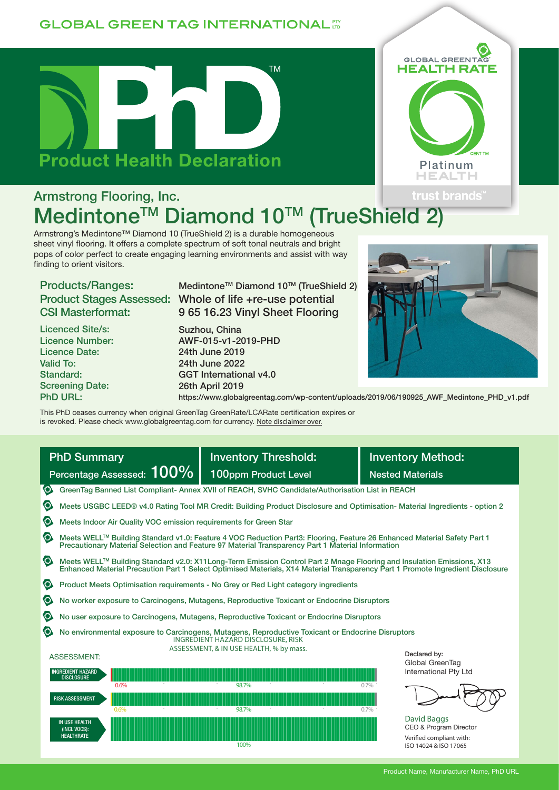### **GLOBAL GREEN TAG INTERNATIONAL TT**





# Armstrong Flooring, Inc. Medintone™ Diamond 10™ (TrueShield

Armstrong's Medintone™ Diamond 10 (TrueShield 2) is a durable homogeneous sheet vinyl flooring. It offers a complete spectrum of soft tonal neutrals and bright pops of color perfect to create engaging learning environments and assist with way finding to orient visitors.

# Products/Ranges: CSI Masterformat:

Licenced Site/s: Licence Number: Licence Date: Valid To: Standard: Screening Date: PhD URL:

Product Stages Assessed: Whole of life +re-use potential Medintone<sup>™</sup> Diamond 10™ (TrueShield 2) 9 65 16.23 Vinyl Sheet Flooring

> Suzhou, China AWF-015-v1-2019-PHD 24th June 2019 24th June 2022 GGT International v4.0 26th April 2019



https://www.globalgreentag.com/wp-content/uploads/2019/06/190925\_AWF\_Medintone\_PHD\_v1.pdf

This PhD ceases currency when original GreenTag GreenRate/LCARate certification expires or is revoked. Please check www.globalgreentag.com for currency. Note disclaimer over.

| <b>PhD Summary</b>                                                                                                                                                                                                                        | <b>Inventory Threshold:</b>                                                                                                                                                                                                                             | <b>Inventory Method:</b>                                                                   |  |  |  |  |  |
|-------------------------------------------------------------------------------------------------------------------------------------------------------------------------------------------------------------------------------------------|---------------------------------------------------------------------------------------------------------------------------------------------------------------------------------------------------------------------------------------------------------|--------------------------------------------------------------------------------------------|--|--|--|--|--|
| Percentage Assessed: 100%                                                                                                                                                                                                                 | 100ppm Product Level                                                                                                                                                                                                                                    | <b>Nested Materials</b>                                                                    |  |  |  |  |  |
| $\bullet$<br>GreenTag Banned List Compliant-Annex XVII of REACH, SVHC Candidate/Authorisation List in REACH                                                                                                                               |                                                                                                                                                                                                                                                         |                                                                                            |  |  |  |  |  |
| $\bullet$<br>Meets USGBC LEED® v4.0 Rating Tool MR Credit: Building Product Disclosure and Optimisation- Material Ingredients - option 2                                                                                                  |                                                                                                                                                                                                                                                         |                                                                                            |  |  |  |  |  |
| $\bullet$<br>Meets Indoor Air Quality VOC emission requirements for Green Star                                                                                                                                                            |                                                                                                                                                                                                                                                         |                                                                                            |  |  |  |  |  |
| $\bullet$<br>Meets WELL™ Building Standard v1.0: Feature 4 VOC Reduction Part3: Flooring, Feature 26 Enhanced Material Safety Part 1<br>Precautionary Material Selection and Feature 97 Material Transparency Part 1 Material Information |                                                                                                                                                                                                                                                         |                                                                                            |  |  |  |  |  |
| $\bullet$                                                                                                                                                                                                                                 | Meets WELL™ Building Standard v2.0: X11Long-Term Emission Control Part 2 Mnage Flooring and Insulation Emissions, X13<br>Enhanced Material Precaution Part 1 Select Optimised Materials, X14 Material Transparency Part 1 Promote Ingredient Disclosure |                                                                                            |  |  |  |  |  |
| $\bullet$<br>Product Meets Optimisation requirements - No Grey or Red Light category ingredients                                                                                                                                          |                                                                                                                                                                                                                                                         |                                                                                            |  |  |  |  |  |
| $\bullet$                                                                                                                                                                                                                                 | No worker exposure to Carcinogens, Mutagens, Reproductive Toxicant or Endocrine Disruptors                                                                                                                                                              |                                                                                            |  |  |  |  |  |
| $\bullet$<br>No user exposure to Carcinogens, Mutagens, Reproductive Toxicant or Endocrine Disruptors                                                                                                                                     |                                                                                                                                                                                                                                                         |                                                                                            |  |  |  |  |  |
| $\bullet$<br>No environmental exposure to Carcinogens, Mutagens, Reproductive Toxicant or Endocrine Disruptors<br>INGREDIENT HAZARD DISCLOSURE, RISK                                                                                      |                                                                                                                                                                                                                                                         |                                                                                            |  |  |  |  |  |
| <b>ASSESSMENT:</b>                                                                                                                                                                                                                        | ASSESSMENT, & IN USE HEALTH, % by mass.                                                                                                                                                                                                                 | Declared by:<br>Global GreenTag                                                            |  |  |  |  |  |
| <b>INGREDIENT HAZARD</b><br><b>DISCLOSURE</b>                                                                                                                                                                                             |                                                                                                                                                                                                                                                         | International Pty Ltd                                                                      |  |  |  |  |  |
| 0.6%<br><b>RISK ASSESSMENT</b><br>0.6%                                                                                                                                                                                                    | 98.7%<br>98.7%                                                                                                                                                                                                                                          | $0.7\%$<br>$0.7\%$                                                                         |  |  |  |  |  |
| <b>IN USE HEALTH</b><br>(INCL VOCS):<br><b>HEALTHRATE</b>                                                                                                                                                                                 | 100%                                                                                                                                                                                                                                                    | David Baggs<br>CEO & Program Director<br>Verified compliant with:<br>ISO 14024 & ISO 17065 |  |  |  |  |  |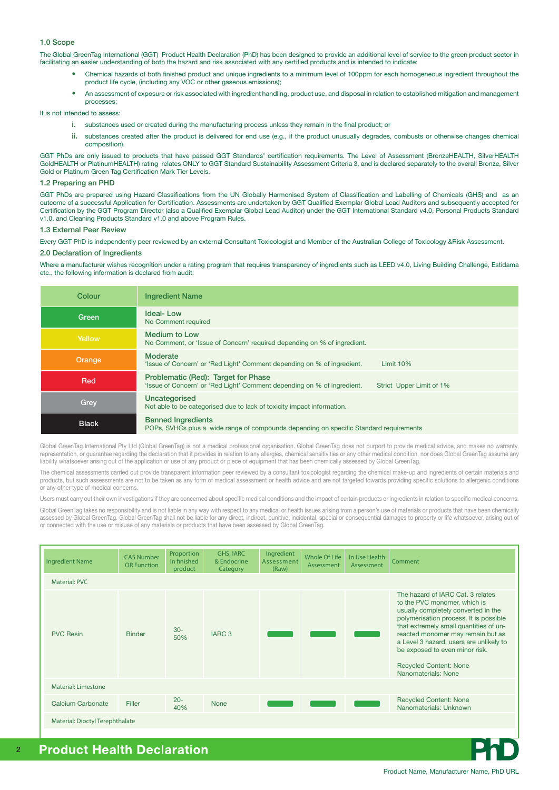#### 1.0 Scope

The Global GreenTag International (GGT) Product Health Declaration (PhD) has been designed to provide an additional level of service to the green product sector in facilitating an easier understanding of both the hazard and risk associated with any certified products and is intended to indicate:

- Chemical hazards of both finished product and unique ingredients to a minimum level of 100ppm for each homogeneous ingredient throughout the product life cycle, (including any VOC or other gaseous emissions);
- An assessment of exposure or risk associated with ingredient handling, product use, and disposal in relation to established mitigation and management processes;

It is not intended to assess:

- i. substances used or created during the manufacturing process unless they remain in the final product; or
- ii. substances created after the product is delivered for end use (e.g., if the product unusually degrades, combusts or otherwise changes chemical composition).

GGT PhDs are only issued to products that have passed GGT Standards' certification requirements. The Level of Assessment (BronzeHEALTH, SilverHEALTH GoldHEALTH or PlatinumHEALTH) rating relates ONLY to GGT Standard Sustainability Assessment Criteria 3, and is declared separately to the overall Bronze, Silver Gold or Platinum Green Tag Certification Mark Tier Levels.

#### 1.2 Preparing an PHD

GGT PhDs are prepared using Hazard Classifications from the UN Globally Harmonised System of Classification and Labelling of Chemicals (GHS) and as an outcome of a successful Application for Certification. Assessments are undertaken by GGT Qualified Exemplar Global Lead Auditors and subsequently accepted for Certification by the GGT Program Director (also a Qualified Exemplar Global Lead Auditor) under the GGT International Standard v4.0, Personal Products Standard v1.0, and Cleaning Products Standard v1.0 and above Program Rules.

#### 1.3 External Peer Review

Every GGT PhD is independently peer reviewed by an external Consultant Toxicologist and Member of the Australian College of Toxicology &Risk Assessment.

### 2.0 Declaration of Ingredients

Where a manufacturer wishes recognition under a rating program that requires transparency of ingredients such as LEED v4.0, Living Building Challenge, Estidama etc., the following information is declared from audit:

| Colour       | <b>Ingredient Name</b>                                                                                                                     |
|--------------|--------------------------------------------------------------------------------------------------------------------------------------------|
| Green        | Ideal-Low<br>No Comment required                                                                                                           |
| Yellow       | <b>Medium to Low</b><br>No Comment, or 'Issue of Concern' required depending on % of ingredient.                                           |
| Orange       | Moderate<br>'Issue of Concern' or 'Red Light' Comment depending on % of ingredient.<br>Limit $10%$                                         |
| Red          | Problematic (Red): Target for Phase<br>'Issue of Concern' or 'Red Light' Comment depending on % of ingredient.<br>Strict Upper Limit of 1% |
| Grey         | Uncategorised<br>Not able to be categorised due to lack of toxicity impact information.                                                    |
| <b>Black</b> | <b>Banned Ingredients</b><br>POPs, SVHCs plus a wide range of compounds depending on specific Standard requirements                        |

Global GreenTag International Pty Ltd (Global GreenTag) is not a medical professional organisation. Global GreenTag does not purport to provide medical advice, and makes no warranty, representation, or guarantee regarding the declaration that it provides in relation to any allergies, chemical sensitivities or any other medical condition, nor does Global GreenTag assume any liability whatsoever arising out of the application or use of any product or piece of equipment that has been chemically assessed by Global GreenTag.

The chemical assessments carried out provide transparent information peer reviewed by a consultant toxicologist regarding the chemical make-up and ingredients of certain materials and products, but such assessments are not to be taken as any form of medical assessment or health advice and are not targeted towards providing specific solutions to allergenic conditions or any other type of medical concerns.

Users must carry out their own investigations if they are concerned about specific medical conditions and the impact of certain products or ingredients in relation to specific medical concerns.

Global GreenTag takes no responsibility and is not liable in any way with respect to any medical or health issues arising from a person's use of materials or products that have been chemically assessed by Global GreenTag. Global GreenTag shall not be liable for any direct, indirect, punitive, incidental, special or consequential damages to property or life whatsoever, arising out of or connected with the use or misuse of any materials or products that have been assessed by Global GreenTag.

| <b>Ingredient Name</b>          | <b>CAS Number</b><br><b>OR Function</b> | Proportion<br>in finished<br>product | <b>GHS, IARC</b><br>& Endocrine<br>Category | Ingredient<br>Assessment<br>(Raw) | Whole Of Life<br>Assessment | In Use Health<br>Assessment | <b>Comment</b>                                                                                                                                                                                                                                                                                                                                                         |
|---------------------------------|-----------------------------------------|--------------------------------------|---------------------------------------------|-----------------------------------|-----------------------------|-----------------------------|------------------------------------------------------------------------------------------------------------------------------------------------------------------------------------------------------------------------------------------------------------------------------------------------------------------------------------------------------------------------|
| <b>Material: PVC</b>            |                                         |                                      |                                             |                                   |                             |                             |                                                                                                                                                                                                                                                                                                                                                                        |
| <b>PVC Resin</b>                | <b>Binder</b>                           | $30-$<br>50%                         | IARC <sub>3</sub>                           |                                   |                             |                             | The hazard of IARC Cat. 3 relates<br>to the PVC monomer, which is<br>usually completely converted in the<br>polymerisation process. It is possible<br>that extremely small quantities of un-<br>reacted monomer may remain but as<br>a Level 3 hazard, users are unlikely to<br>be exposed to even minor risk.<br><b>Recycled Content: None</b><br>Nanomaterials: None |
| Material: Limestone             |                                         |                                      |                                             |                                   |                             |                             |                                                                                                                                                                                                                                                                                                                                                                        |
| <b>Calcium Carbonate</b>        | Filler                                  | $20 -$<br>40%                        | <b>None</b>                                 |                                   |                             |                             | <b>Recycled Content: None</b><br>Nanomaterials: Unknown                                                                                                                                                                                                                                                                                                                |
| Material: Dioctyl Terephthalate |                                         |                                      |                                             |                                   |                             |                             |                                                                                                                                                                                                                                                                                                                                                                        |